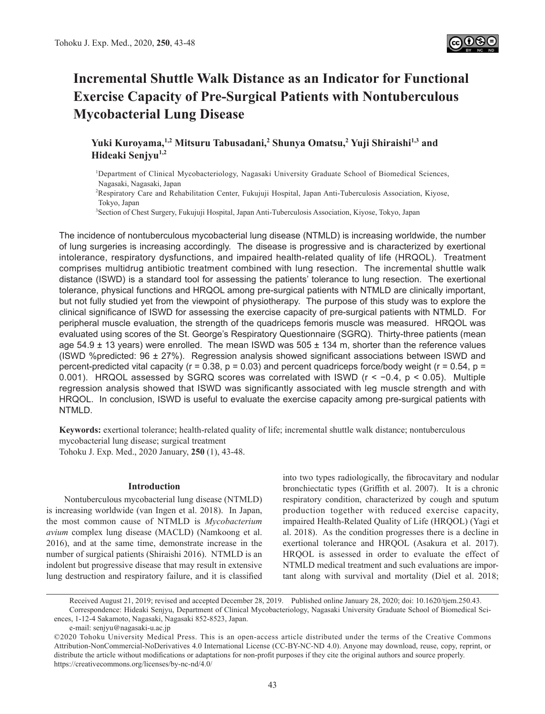

# **Incremental Shuttle Walk Distance as an Indicator for Functional Exercise Capacity of Pre-Surgical Patients with Nontuberculous Mycobacterial Lung Disease**

# **Yuki Kuroyama,1,2 Mitsuru Tabusadani,2 Shunya Omatsu,<sup>2</sup> Yuji Shiraishi1,3 and Hideaki Senjyu1,2**

1 Department of Clinical Mycobacteriology, Nagasaki University Graduate School of Biomedical Sciences, Nagasaki, Nagasaki, Japan

2 Respiratory Care and Rehabilitation Center, Fukujuji Hospital, Japan Anti-Tuberculosis Association, Kiyose, Tokyo, Japan

3 Section of Chest Surgery, Fukujuji Hospital, Japan Anti-Tuberculosis Association, Kiyose, Tokyo, Japan

The incidence of nontuberculous mycobacterial lung disease (NTMLD) is increasing worldwide, the number of lung surgeries is increasing accordingly. The disease is progressive and is characterized by exertional intolerance, respiratory dysfunctions, and impaired health-related quality of life (HRQOL). Treatment comprises multidrug antibiotic treatment combined with lung resection. The incremental shuttle walk distance (ISWD) is a standard tool for assessing the patients' tolerance to lung resection. The exertional tolerance, physical functions and HRQOL among pre-surgical patients with NTMLD are clinically important, but not fully studied yet from the viewpoint of physiotherapy. The purpose of this study was to explore the clinical significance of ISWD for assessing the exercise capacity of pre-surgical patients with NTMLD. For peripheral muscle evaluation, the strength of the quadriceps femoris muscle was measured. HRQOL was evaluated using scores of the St. George's Respiratory Questionnaire (SGRQ). Thirty-three patients (mean age  $54.9 \pm 13$  years) were enrolled. The mean ISWD was  $505 \pm 134$  m, shorter than the reference values (ISWD %predicted: 96 ± 27%). Regression analysis showed significant associations between ISWD and percent-predicted vital capacity ( $r = 0.38$ ,  $p = 0.03$ ) and percent quadriceps force/body weight ( $r = 0.54$ ,  $p =$ 0.001). HRQOL assessed by SGRQ scores was correlated with ISWD (r < −0.4, p < 0.05). Multiple regression analysis showed that ISWD was significantly associated with leg muscle strength and with HRQOL. In conclusion, ISWD is useful to evaluate the exercise capacity among pre-surgical patients with NTMLD.

**Keywords:** exertional tolerance; health-related quality of life; incremental shuttle walk distance; nontuberculous mycobacterial lung disease; surgical treatment Tohoku J. Exp. Med., 2020 January, **250** (1), 43-48.

## **Introduction**

Nontuberculous mycobacterial lung disease (NTMLD) is increasing worldwide (van Ingen et al. 2018). In Japan, the most common cause of NTMLD is *Mycobacterium avium* complex lung disease (MACLD) (Namkoong et al. 2016), and at the same time, demonstrate increase in the number of surgical patients (Shiraishi 2016). NTMLD is an indolent but progressive disease that may result in extensive lung destruction and respiratory failure, and it is classified into two types radiologically, the fibrocavitary and nodular bronchiectatic types (Griffith et al. 2007). It is a chronic respiratory condition, characterized by cough and sputum production together with reduced exercise capacity, impaired Health-Related Quality of Life (HRQOL) (Yagi et al. 2018). As the condition progresses there is a decline in exertional tolerance and HRQOL (Asakura et al. 2017). HRQOL is assessed in order to evaluate the effect of NTMLD medical treatment and such evaluations are important along with survival and mortality (Diel et al. 2018;

Received August 21, 2019; revised and accepted December 28, 2019. Published online January 28, 2020; doi: 10.1620/tjem.250.43. Correspondence: Hideaki Senjyu, Department of Clinical Mycobacteriology, Nagasaki University Graduate School of Biomedical Sciences, 1-12-4 Sakamoto, Nagasaki, Nagasaki 852-8523, Japan.

e-mail: senjyu@nagasaki-u.ac.jp

<sup>©2020</sup> Tohoku University Medical Press. This is an open-access article distributed under the terms of the Creative Commons Attribution-NonCommercial-NoDerivatives 4.0 International License (CC-BY-NC-ND 4.0). Anyone may download, reuse, copy, reprint, or distribute the article without modifications or adaptations for non-profit purposes if they cite the original authors and source properly. https://creativecommons.org/licenses/by-nc-nd/4.0/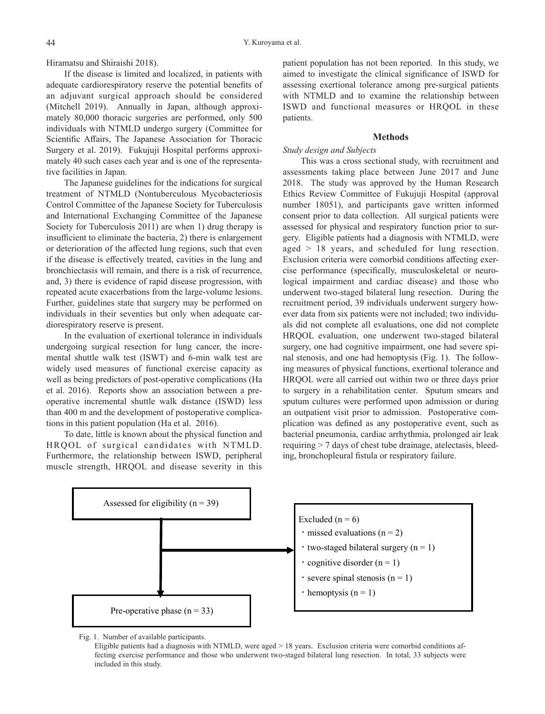Hiramatsu and Shiraishi 2018).

If the disease is limited and localized, in patients with adequate cardiorespiratory reserve the potential benefits of an adjuvant surgical approach should be considered (Mitchell 2019). Annually in Japan, although approximately 80,000 thoracic surgeries are performed, only 500 individuals with NTMLD undergo surgery (Committee for Scientific Affairs, The Japanese Association for Thoracic Surgery et al. 2019). Fukujuji Hospital performs approximately 40 such cases each year and is one of the representative facilities in Japan.

The Japanese guidelines for the indications for surgical treatment of NTMLD (Nontuberculous Mycobacteriosis Control Committee of the Japanese Society for Tuberculosis and International Exchanging Committee of the Japanese Society for Tuberculosis 2011) are when 1) drug therapy is insufficient to eliminate the bacteria, 2) there is enlargement or deterioration of the affected lung regions, such that even if the disease is effectively treated, cavities in the lung and bronchiectasis will remain, and there is a risk of recurrence, and, 3) there is evidence of rapid disease progression, with repeated acute exacerbations from the large-volume lesions. Further, guidelines state that surgery may be performed on individuals in their seventies but only when adequate cardiorespiratory reserve is present.

In the evaluation of exertional tolerance in individuals undergoing surgical resection for lung cancer, the incremental shuttle walk test (ISWT) and 6-min walk test are widely used measures of functional exercise capacity as well as being predictors of post-operative complications (Ha et al. 2016). Reports show an association between a preoperative incremental shuttle walk distance (ISWD) less than 400 m and the development of postoperative complications in this patient population (Ha et al. 2016).

To date, little is known about the physical function and HRQOL of surgical candidates with NTMLD. Furthermore, the relationship between ISWD, peripheral muscle strength, HRQOL and disease severity in this patient population has not been reported. In this study, we aimed to investigate the clinical significance of ISWD for assessing exertional tolerance among pre-surgical patients with NTMLD and to examine the relationship between ISWD and functional measures or HRQOL in these patients.

## **Methods**

# *Study design and Subjects*

This was a cross sectional study, with recruitment and assessments taking place between June 2017 and June 2018. The study was approved by the Human Research Ethics Review Committee of Fukujuji Hospital (approval number 18051), and participants gave written informed consent prior to data collection. All surgical patients were assessed for physical and respiratory function prior to surgery. Eligible patients had a diagnosis with NTMLD, were aged > 18 years, and scheduled for lung resection. Exclusion criteria were comorbid conditions affecting exercise performance (specifically, musculoskeletal or neurological impairment and cardiac disease) and those who underwent two-staged bilateral lung resection. During the recruitment period, 39 individuals underwent surgery however data from six patients were not included; two individuals did not complete all evaluations, one did not complete HRQOL evaluation, one underwent two-staged bilateral surgery, one had cognitive impairment, one had severe spinal stenosis, and one had hemoptysis (Fig. 1). The following measures of physical functions, exertional tolerance and HRQOL were all carried out within two or three days prior to surgery in a rehabilitation center. Sputum smears and sputum cultures were performed upon admission or during an outpatient visit prior to admission. Postoperative complication was defined as any postoperative event, such as bacterial pneumonia, cardiac arrhythmia, prolonged air leak requiring > 7 days of chest tube drainage, atelectasis, bleeding, bronchopleural fistula or respiratory failure.



Fig. 1. Number of available participants.

Eligible patients had a diagnosis with NTMLD, were aged  $> 18$  years. Exclusion criteria were comorbid conditions affecting exercise performance and those who underwent two-staged bilateral lung resection. In total, 33 subjects were included in this study.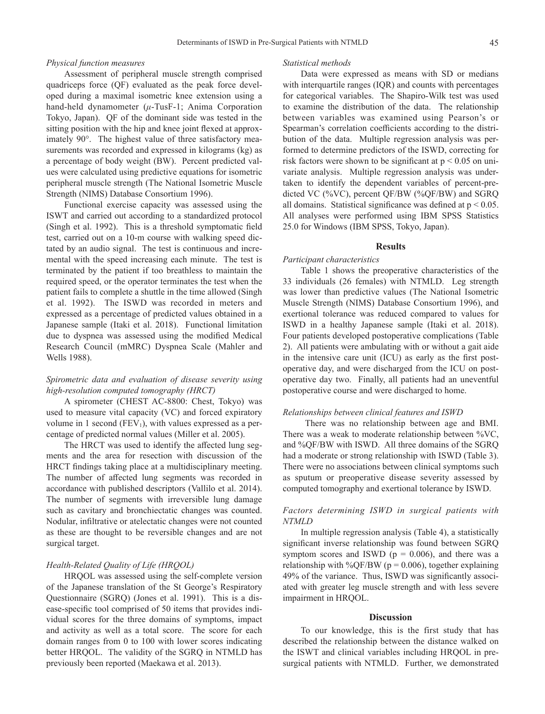# *Physical function measures*

Assessment of peripheral muscle strength comprised quadriceps force (QF) evaluated as the peak force developed during a maximal isometric knee extension using a hand-held dynamometer (*μ*-TusF-1; Anima Corporation Tokyo, Japan). QF of the dominant side was tested in the sitting position with the hip and knee joint flexed at approximately 90°. The highest value of three satisfactory measurements was recorded and expressed in kilograms (kg) as a percentage of body weight (BW). Percent predicted values were calculated using predictive equations for isometric peripheral muscle strength (The National Isometric Muscle Strength (NIMS) Database Consortium 1996).

Functional exercise capacity was assessed using the ISWT and carried out according to a standardized protocol (Singh et al. 1992). This is a threshold symptomatic field test, carried out on a 10-m course with walking speed dictated by an audio signal. The test is continuous and incremental with the speed increasing each minute. The test is terminated by the patient if too breathless to maintain the required speed, or the operator terminates the test when the patient fails to complete a shuttle in the time allowed (Singh et al. 1992). The ISWD was recorded in meters and expressed as a percentage of predicted values obtained in a Japanese sample (Itaki et al. 2018). Functional limitation due to dyspnea was assessed using the modified Medical Research Council (mMRC) Dyspnea Scale (Mahler and Wells 1988).

# *Spirometric data and evaluation of disease severity using high-resolution computed tomography (HRCT)*

A spirometer (CHEST AC-8800: Chest, Tokyo) was used to measure vital capacity (VC) and forced expiratory volume in 1 second ( $FEV<sub>1</sub>$ ), with values expressed as a percentage of predicted normal values (Miller et al. 2005).

The HRCT was used to identify the affected lung segments and the area for resection with discussion of the HRCT findings taking place at a multidisciplinary meeting. The number of affected lung segments was recorded in accordance with published descriptors (Vallilo et al. 2014). The number of segments with irreversible lung damage such as cavitary and bronchiectatic changes was counted. Nodular, infiltrative or atelectatic changes were not counted as these are thought to be reversible changes and are not surgical target.

# *Health-Related Quality of Life (HRQOL)*

HRQOL was assessed using the self-complete version of the Japanese translation of the St George's Respiratory Questionnaire (SGRQ) (Jones et al. 1991). This is a disease-specific tool comprised of 50 items that provides individual scores for the three domains of symptoms, impact and activity as well as a total score. The score for each domain ranges from 0 to 100 with lower scores indicating better HRQOL. The validity of the SGRQ in NTMLD has previously been reported (Maekawa et al. 2013).

#### *Statistical methods*

Data were expressed as means with SD or medians with interquartile ranges (IQR) and counts with percentages for categorical variables. The Shapiro-Wilk test was used to examine the distribution of the data. The relationship between variables was examined using Pearson's or Spearman's correlation coefficients according to the distribution of the data. Multiple regression analysis was performed to determine predictors of the ISWD, correcting for risk factors were shown to be significant at  $p \leq 0.05$  on univariate analysis. Multiple regression analysis was undertaken to identify the dependent variables of percent-predicted VC (%VC), percent QF/BW (%QF/BW) and SGRQ all domains. Statistical significance was defined at  $p < 0.05$ . All analyses were performed using IBM SPSS Statistics 25.0 for Windows (IBM SPSS, Tokyo, Japan).

#### **Results**

## *Participant characteristics*

Table 1 shows the preoperative characteristics of the 33 individuals (26 females) with NTMLD. Leg strength was lower than predictive values (The National Isometric Muscle Strength (NIMS) Database Consortium 1996), and exertional tolerance was reduced compared to values for ISWD in a healthy Japanese sample (Itaki et al. 2018). Four patients developed postoperative complications (Table 2). All patients were ambulating with or without a gait aide in the intensive care unit (ICU) as early as the first postoperative day, and were discharged from the ICU on postoperative day two. Finally, all patients had an uneventful postoperative course and were discharged to home.

## *Relationships between clinical features and ISWD*

 There was no relationship between age and BMI. There was a weak to moderate relationship between %VC, and %QF/BW with ISWD. All three domains of the SGRQ had a moderate or strong relationship with ISWD (Table 3). There were no associations between clinical symptoms such as sputum or preoperative disease severity assessed by computed tomography and exertional tolerance by ISWD.

# *Factors determining ISWD in surgical patients with NTMLD*

In multiple regression analysis (Table 4), a statistically significant inverse relationship was found between SGRQ symptom scores and ISWD ( $p = 0.006$ ), and there was a relationship with %QF/BW ( $p = 0.006$ ), together explaining 49% of the variance. Thus, ISWD was significantly associated with greater leg muscle strength and with less severe impairment in HRQOL.

## **Discussion**

To our knowledge, this is the first study that has described the relationship between the distance walked on the ISWT and clinical variables including HRQOL in presurgical patients with NTMLD. Further, we demonstrated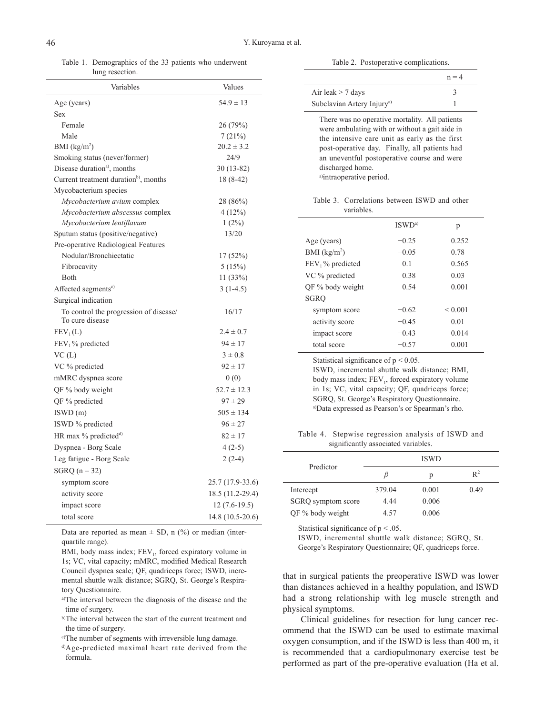Table 1. Demographics of the 33 patients who underwent lung resection.

| Variables                                                 | Values           |  |
|-----------------------------------------------------------|------------------|--|
| Age (years)                                               | $54.9 \pm 13$    |  |
| Sex                                                       |                  |  |
| Female                                                    | 26 (79%)         |  |
| Male                                                      | 7(21%)           |  |
| BMI $(kg/m2)$                                             | $20.2 \pm 3.2$   |  |
| Smoking status (never/former)                             | 24/9             |  |
| Disease duration <sup>a)</sup> , months                   | $30(13-82)$      |  |
| Current treatment duration <sup>b</sup> , months          | $18(8-42)$       |  |
| Mycobacterium species                                     |                  |  |
| Mycobacterium avium complex                               | 28 (86%)         |  |
| Mycobacterium abscessus complex                           | 4(12%)           |  |
| Mycobacterium lentiflavum                                 | $1(2\%)$         |  |
| Sputum status (positive/negative)                         | 13/20            |  |
| Pre-operative Radiological Features                       |                  |  |
| Nodular/Bronchiectatic                                    | 17 (52%)         |  |
| Fibrocavity                                               | 5(15%)           |  |
| <b>B</b> oth                                              | 11(33%)          |  |
| Affected segments <sup>c)</sup>                           | $3(1-4.5)$       |  |
| Surgical indication                                       |                  |  |
| To control the progression of disease/<br>To cure disease | 16/17            |  |
| $FEV_1(L)$                                                | $2.4 \pm 0.7$    |  |
| $FEV1$ % predicted                                        | $94 \pm 17$      |  |
| VC(L)                                                     | $3 \pm 0.8$      |  |
| VC % predicted                                            | $92 \pm 17$      |  |
| mMRC dyspnea score                                        | 0(0)             |  |
| QF % body weight                                          | $52.7 \pm 12.3$  |  |
| QF % predicted                                            | $97 \pm 29$      |  |
| ISWD(m)                                                   | $505 \pm 134$    |  |
| ISWD % predicted                                          | $96 \pm 27$      |  |
| HR max % predicted <sup>d)</sup>                          | $82 \pm 17$      |  |
| Dyspnea - Borg Scale                                      | $4(2-5)$         |  |
| Leg fatigue - Borg Scale                                  | $2(2-4)$         |  |
| SGRQ $(n = 32)$                                           |                  |  |
| symptom score                                             | 25.7 (17.9-33.6) |  |
| activity score                                            | 18.5 (11.2-29.4) |  |
| impact score                                              | $12(7.6-19.5)$   |  |
| total score                                               | 14.8 (10.5-20.6) |  |
|                                                           |                  |  |

Data are reported as mean  $\pm$  SD, n (%) or median (interquartile range).

BMI, body mass index; FEV<sub>1</sub>, forced expiratory volume in 1s; VC, vital capacity; mMRC, modified Medical Research Council dyspnea scale; QF, quadriceps force; ISWD, incremental shuttle walk distance; SGRQ, St. George's Respiratory Questionnaire.

a)The interval between the diagnosis of the disease and the time of surgery.

b)The interval between the start of the current treatment and the time of surgery.

c)The number of segments with irreversible lung damage.

d)Age-predicted maximal heart rate derived from the formula.

Table 2. Postoperative complications.

|                                                                                                                                                                                                                                                                                                   | $n = 4$ |
|---------------------------------------------------------------------------------------------------------------------------------------------------------------------------------------------------------------------------------------------------------------------------------------------------|---------|
| Air leak $> 7$ days                                                                                                                                                                                                                                                                               | 3       |
| Subclavian Artery Injury <sup>a)</sup>                                                                                                                                                                                                                                                            | 1       |
| There was no operative mortality. All patients<br>were ambulating with or without a gait aide in<br>the intensive care unit as early as the first<br>post-operative day. Finally, all patients had<br>an uneventful postoperative course and were<br>discharged home.<br>a)intraoperative period. |         |

Table 3. Correlations between ISWD and other variables.

|                    | ISWD <sup>a</sup> | p            |
|--------------------|-------------------|--------------|
| Age (years)        | $-0.25$           | 0.252        |
| BMI $(kg/m2)$      | $-0.05$           | 0.78         |
| $FEV1$ % predicted | 0.1               | 0.565        |
| VC % predicted     | 0.38              | 0.03         |
| OF % body weight   | 0.54              | 0.001        |
| <b>SGRO</b>        |                   |              |
| symptom score      | $-0.62$           | ${}_{0.001}$ |
| activity score     | $-0.45$           | 0.01         |
| impact score       | $-0.43$           | 0.014        |
| total score        | $-0.57$           | 0.001        |

Statistical significance of  $p < 0.05$ . ISWD, incremental shuttle walk distance; BMI, body mass index; FEV<sub>1</sub>, forced expiratory volume in 1s; VC, vital capacity; QF, quadriceps force; SGRQ, St. George's Respiratory Questionnaire. a)Data expressed as Pearson's or Spearman's rho.

Table 4. Stepwise regression analysis of ISWD and significantly associated variables.

| Predictor          |         | <b>ISWD</b> |       |
|--------------------|---------|-------------|-------|
|                    |         | р           | $R^2$ |
| Intercept          | 379.04  | 0.001       | 0.49  |
| SGRQ symptom score | $-4.44$ | 0.006       |       |
| QF % body weight   | 4.57    | 0.006       |       |

Statistical significance of  $p < .05$ .

ISWD, incremental shuttle walk distance; SGRQ, St. George's Respiratory Questionnaire; QF, quadriceps force.

that in surgical patients the preoperative ISWD was lower than distances achieved in a healthy population, and ISWD had a strong relationship with leg muscle strength and physical symptoms.

Clinical guidelines for resection for lung cancer recommend that the ISWD can be used to estimate maximal oxygen consumption, and if the ISWD is less than 400 m, it is recommended that a cardiopulmonary exercise test be performed as part of the pre-operative evaluation (Ha et al.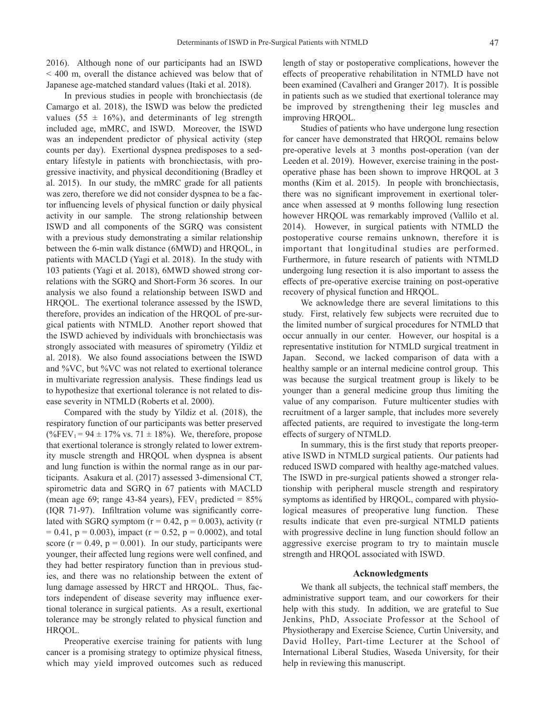2016). Although none of our participants had an ISWD < 400 m, overall the distance achieved was below that of Japanese age-matched standard values (Itaki et al. 2018).

In previous studies in people with bronchiectasis (de Camargo et al. 2018), the ISWD was below the predicted values (55  $\pm$  16%), and determinants of leg strength included age, mMRC, and ISWD. Moreover, the ISWD was an independent predictor of physical activity (step counts per day). Exertional dyspnea predisposes to a sedentary lifestyle in patients with bronchiectasis, with progressive inactivity, and physical deconditioning (Bradley et al. 2015). In our study, the mMRC grade for all patients was zero, therefore we did not consider dyspnea to be a factor influencing levels of physical function or daily physical activity in our sample. The strong relationship between ISWD and all components of the SGRQ was consistent with a previous study demonstrating a similar relationship between the 6-min walk distance (6MWD) and HRQOL, in patients with MACLD (Yagi et al. 2018). In the study with 103 patients (Yagi et al. 2018), 6MWD showed strong correlations with the SGRQ and Short-Form 36 scores. In our analysis we also found a relationship between ISWD and HRQOL. The exertional tolerance assessed by the ISWD, therefore, provides an indication of the HRQOL of pre-surgical patients with NTMLD. Another report showed that the ISWD achieved by individuals with bronchiectasis was strongly associated with measures of spirometry (Yildiz et al. 2018). We also found associations between the ISWD and %VC, but %VC was not related to exertional tolerance in multivariate regression analysis. These findings lead us to hypothesize that exertional tolerance is not related to disease severity in NTMLD (Roberts et al. 2000).

Compared with the study by Yildiz et al. (2018), the respiratory function of our participants was better preserved (%FEV<sub>1</sub> = 94  $\pm$  17% vs. 71  $\pm$  18%). We, therefore, propose that exertional tolerance is strongly related to lower extremity muscle strength and HRQOL when dyspnea is absent and lung function is within the normal range as in our participants. Asakura et al. (2017) assessed 3-dimensional CT, spirometric data and SGRQ in 67 patients with MACLD (mean age 69; range 43-84 years),  $FEV_1$  predicted = 85% (IQR 71-97). Infiltration volume was significantly correlated with SGRQ symptom  $(r = 0.42, p = 0.003)$ , activity  $(r = 0.42, p = 0.003)$  $= 0.41$ ,  $p = 0.003$ ), impact (r = 0.52, p = 0.0002), and total score ( $r = 0.49$ ,  $p = 0.001$ ). In our study, participants were younger, their affected lung regions were well confined, and they had better respiratory function than in previous studies, and there was no relationship between the extent of lung damage assessed by HRCT and HRQOL. Thus, factors independent of disease severity may influence exertional tolerance in surgical patients. As a result, exertional tolerance may be strongly related to physical function and HRQOL.

Preoperative exercise training for patients with lung cancer is a promising strategy to optimize physical fitness, which may yield improved outcomes such as reduced

length of stay or postoperative complications, however the effects of preoperative rehabilitation in NTMLD have not been examined (Cavalheri and Granger 2017). It is possible in patients such as we studied that exertional tolerance may be improved by strengthening their leg muscles and improving HRQOL.

Studies of patients who have undergone lung resection for cancer have demonstrated that HRQOL remains below pre-operative levels at 3 months post-operation (van der Leeden et al. 2019). However, exercise training in the postoperative phase has been shown to improve HRQOL at 3 months (Kim et al. 2015). In people with bronchiectasis, there was no significant improvement in exertional tolerance when assessed at 9 months following lung resection however HRQOL was remarkably improved (Vallilo et al. 2014). However, in surgical patients with NTMLD the postoperative course remains unknown, therefore it is important that longitudinal studies are performed. Furthermore, in future research of patients with NTMLD undergoing lung resection it is also important to assess the effects of pre-operative exercise training on post-operative recovery of physical function and HRQOL.

We acknowledge there are several limitations to this study. First, relatively few subjects were recruited due to the limited number of surgical procedures for NTMLD that occur annually in our center. However, our hospital is a representative institution for NTMLD surgical treatment in Japan. Second, we lacked comparison of data with a healthy sample or an internal medicine control group. This was because the surgical treatment group is likely to be younger than a general medicine group thus limiting the value of any comparison. Future multicenter studies with recruitment of a larger sample, that includes more severely affected patients, are required to investigate the long-term effects of surgery of NTMLD.

In summary, this is the first study that reports preoperative ISWD in NTMLD surgical patients. Our patients had reduced ISWD compared with healthy age-matched values. The ISWD in pre-surgical patients showed a stronger relationship with peripheral muscle strength and respiratory symptoms as identified by HRQOL, compared with physiological measures of preoperative lung function. These results indicate that even pre-surgical NTMLD patients with progressive decline in lung function should follow an aggressive exercise program to try to maintain muscle strength and HRQOL associated with ISWD.

### **Acknowledgments**

We thank all subjects, the technical staff members, the administrative support team, and our coworkers for their help with this study. In addition, we are grateful to Sue Jenkins, PhD, Associate Professor at the School of Physiotherapy and Exercise Science, Curtin University, and David Holley, Part-time Lecturer at the School of International Liberal Studies, Waseda University, for their help in reviewing this manuscript.